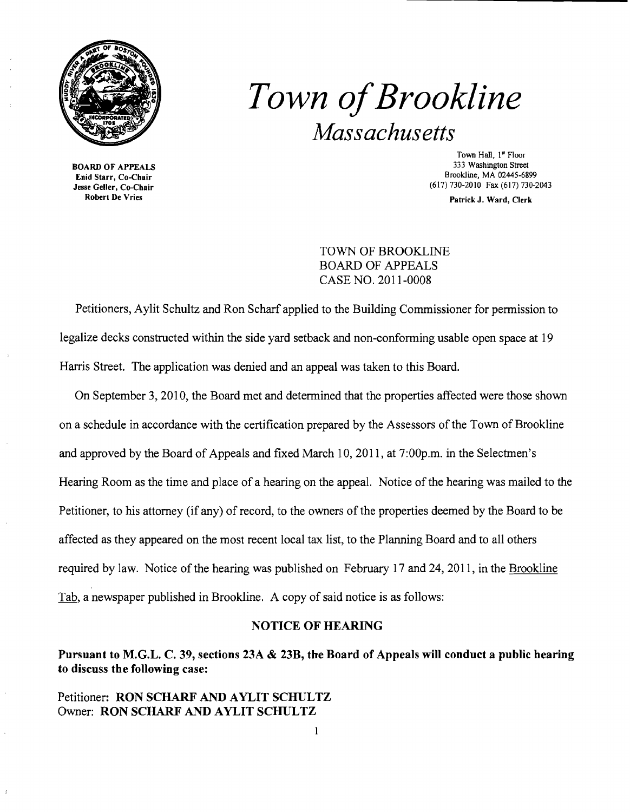

*Town ofBrookline Massachusetts* 

BOARD OF APPEALS Enid Starr, Co-Chair Jesse Geller, Co-Chair Robert De Vries

Town Hall, 1<sup>st</sup> Floor 333 Washington Street Brookline, MA 02445-6899 (617) 730-2010 Fax (617) 730-2043

Patrick J. Ward, Clerk

TOWN OF BROOKLINE BOARD OF APPEALS CASE NO. 2011-0008

Petitioners, Aylit Schultz and Ron Scharf applied to the Building Commissioner for permission to legalize decks constructed within the side yard setback and non-conforming usable open space at 19 Harris Street. The application was denied and an appeal was taken to this Board.

On September 3,2010, the Board met and determined that the properties affected were those shown on a schedule in accordance with the certification prepared by the Assessors of the Town of Brookline and approved by the Board of Appeals and fixed March 10,2011, at 7:00p.m. in the Selectmen's Hearing Room as the time and place of a hearing on the appeal. Notice of the hearing was mailed to the Petitioner, to his attorney (if any) of record, to the owners of the properties deemed by the Board to be affected as they appeared on the most recent local tax list, to the Planning Board and to all others required by law. Notice of the hearing was published on February 17 and 24,2011, in the Brookline Tab, a newspaper published in Brookline. A copy of said notice is as follows:

### NOTICE OF HEARING

# Pursuant to M.G.L. C. 39, sections 23A & 23B, the Board of Appeals will conduct a public hearing to discuss the following case:

### Petitioner: RON SCHARF AND AYLIT SCHULTZ Owner: RON SCHARF AND AYLIT SCHULTZ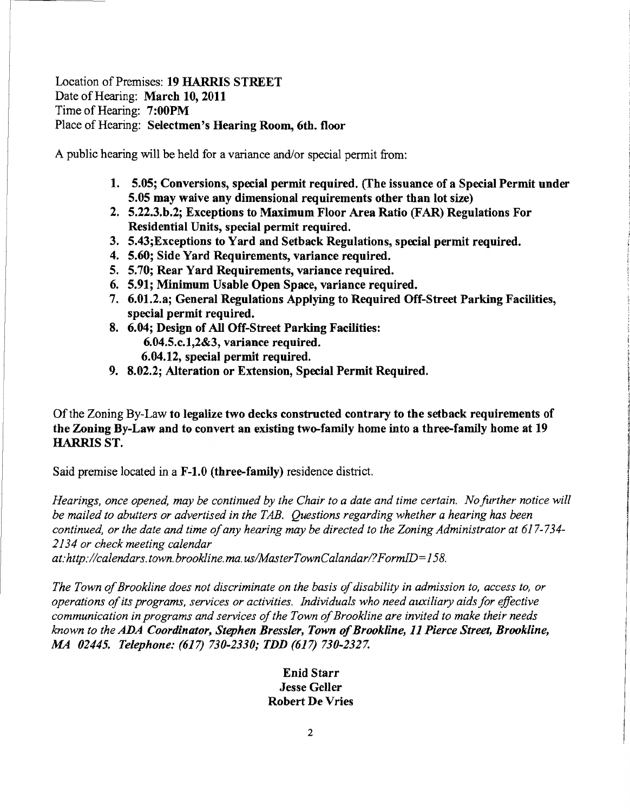## Location of Premises: 19 HARRIS STREET Date of Hearing: March 10, 2011 Time of Hearing: 7:OOPM Place of Hearing: Selectmen's Hearing Room, 6th. floor

A public hearing will be held for a variance and/or special permit from:

- 1. 5.05; Conversions, special permit required. (The issuance of a Special Permit under 5.05 may waive any dimensional requirements other than lot size)
- 2. 5.22.3.b.2; Exceptions to Maximum Floor Area Ratio (FAR) Regulations For Residential Units, special permit required.
- 3. 5.43;Exceptions to Yard and Setback Regulations, special permit required.
- 4. 5.60; Side Yard Requirements, variance required.
- 5. 5.70; Rear Yard Requirements, variance required.
- 6. 5.91; Minimum Usable Open Space, variance required.
- 7. 6.01.2.a; General Regulations Applying to Required Off-Street Parking Facilities, special permit required.
- 8. 6.04; Design of All Off-Street Parking Facilities: 6.04.5.c.l,2&3, variance required. 6.04.12, special permit required.
- 9. 8.02.2; Alteration or Extension, Special Permit Required.

Of the Zoning By-Law to legalize two decks constructed contrary to the setback requirements of the Zoning By-Law and to convert an existing two-family home into a three-family home at 19 HARRIS ST.

Said premise located in a F-l.0 (three-family) residence district.

*Hearings, once opened, may be continued by the Chair to a date and time certain. Nofurther notice will be mailed to abutters or advertised in the TAB. Questions regarding whether a hearing has been continued, or the date and time ofany hearing may be directed to the Zoning Administrator at 617-734 2134 or check meeting calendar* 

at:http://calendars.town.brookline.ma.us/MasterTownCalandar/?FormID=158.

The Town of Brookline does not discriminate on the basis of disability in admission to, access to, or *operations ofits programs, services or activities. Individuals who need auxiliary aids for effective communication in programs and services ofthe Town ofBrookline are invited to make their needs known to the ADA Coordinator, Stephen Bressler, Town 0/Brookline,* 11 *Pierce Street, Brookline, MA 02445. Telephone:* (617) *730-2330; TDD* (617) *730-2327.* 

> Enid Starr Jesse Geller Robert De Vries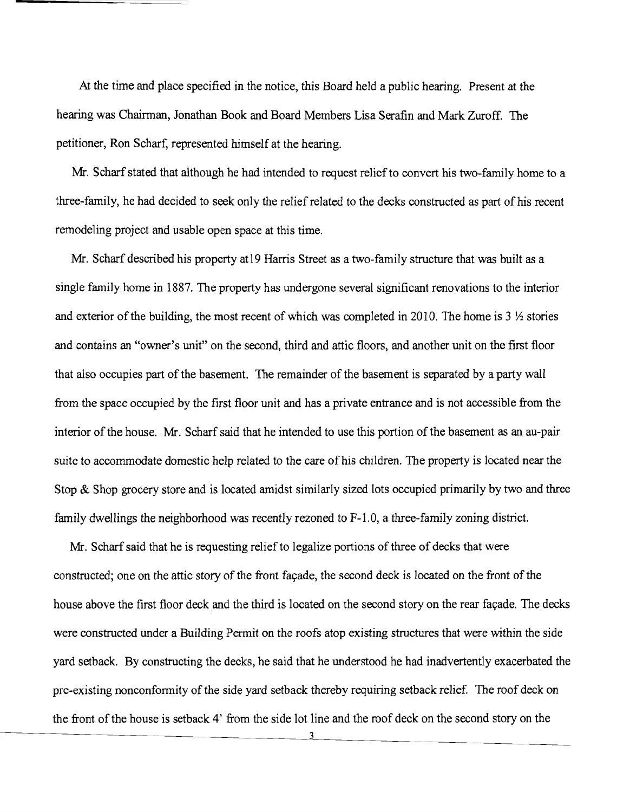At the time and place specified in the notice, this Board held a public hearing. Present at the hearing was Chairman, Jonathan Book and Board Members Lisa Serafin and Mark Zuroff. The petitioner, Ron Scharf, represented himself at the hearing.

Mr. Scharf stated that although he had intended to request relief to convert his two-family home to a three-family, he had decided to seek only the relief related to the decks constructed as part of his recent remodeling project and usable open space at this time.

Mr. Scharf described his property atl9 Harris Street as a two-family structure that was built as a single family home in 1887. The property has undergone several significant renovations to the interior and exterior of the building, the most recent of which was completed in 2010. The home is  $3\frac{1}{2}$  stories and contains an "owner's unit" on the second, third and attic floors, and another unit on the first floor that also occupies part of the basement. The remainder of the basement is separated by a party wall from the space occupied by the first floor unit and has a private entrance and is not accessible from the interior of the house. Mr. Scharf said that he intended to use this portion of the basement as an au-pair suite to accommodate domestic help related to the care of his children. The property is located near the Stop & Shop grocery store and is located amidst similarly sized lots occupied primarily by two and three family dwellings the neighborhood was recently rezoned to F-l.O, a three-family zoning district.

Mr. Scharf said that he is requesting relief to legalize portions of three of decks that were constructed; one on the attic story of the front fayade, the second deck is located on the front of the house above the first floor deck and the third is located on the second story on the rear façade. The decks were constructed under a Building Permit on the roofs atop existing structures that were within the side yard setback. By constructing the decks, he said that he understood he had inadvertently exacerbated the pre-existing nonconformity of the side yard setback thereby requiring setback relief. The roof deck on the front of the house is setback 4' from the side lot line and the roof deck on the second story on the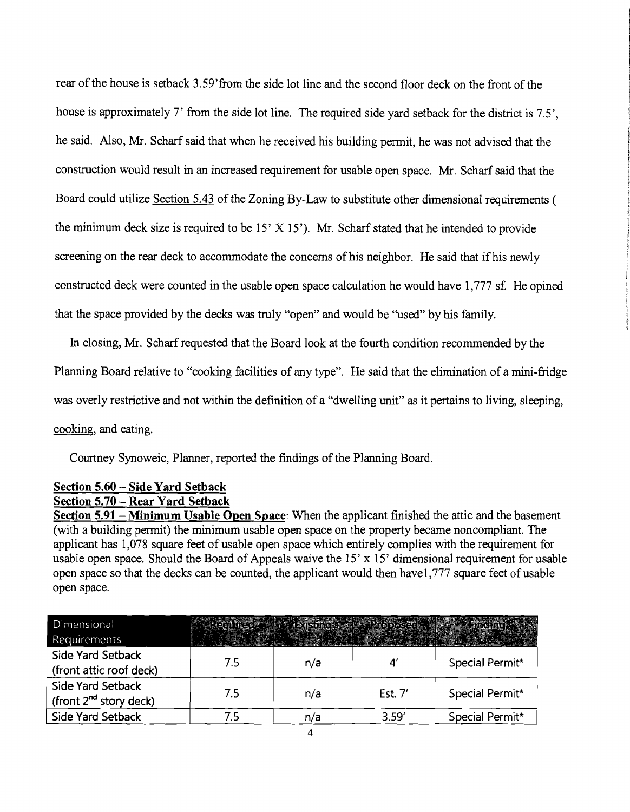rear of the house is setback 3.59'from the side lot line and the second floor deck on the front of the house is approximately 7' from the side lot line. The required side yard setback for the district is 7.5', he said. Also, Mr. Scharf said that when he received his building permit, he was not advised that the construction would result in an increased requirement for usable open space. Mr. Scharf said that the Board could utilize Section 5.43 of the Zoning By-Law to substitute other dimensional requirements ( the minimum deck size is required to be  $15'$  X  $15'$ ). Mr. Scharf stated that he intended to provide screening on the rear deck to accommodate the concerns of his neighbor. He said that if his newly constructed deck were counted in the usable open space calculation he would have 1,777 sf. He opined that the space provided by the decks was truly "open" and would be ''used'' by his family.

In closing, Mr. Scharf requested that the Board look at the fourth condition recommended by the Planning Board relative to "cooking facilities of any type". He said that the elimination of a mini-fridge was overly restrictive and not within the definition of a "dwelling unit" as it pertains to living, sleeping, cooking, and eating.

Courtney Synoweic, Planner, reported the findings of the Planning Board.

## Section 5.60 - Side Yard Setback Section 5.70 - Rear Yard Setback

Section 5.91 - Minimum Usable Open Space: When the applicant finished the attic and the basement (with a building permit) the minimum usable open space on the property became noncompliant. The applicant has 1,078 square feet of usable open space which entirely complies with the requirement for usable open space. Should the Board of Appeals waive the  $15' \times 15'$  dimensional requirement for usable open space so that the decks can be counted, the applicant would then havel,777 square feet of usable open space.

| Dimensional                 |     |     |           |                 |
|-----------------------------|-----|-----|-----------|-----------------|
| Requirements                |     |     |           |                 |
| <b>Side Yard Setback</b>    | 7.5 | n/a |           | Special Permit* |
| (front attic roof deck)     |     |     |           |                 |
| Side Yard Setback           | 75  | n/a | Est. $7'$ | Special Permit* |
| (front $2^{nd}$ story deck) |     |     |           |                 |
| Side Yard Setback           |     | n/a | 3.59'     | Special Permit* |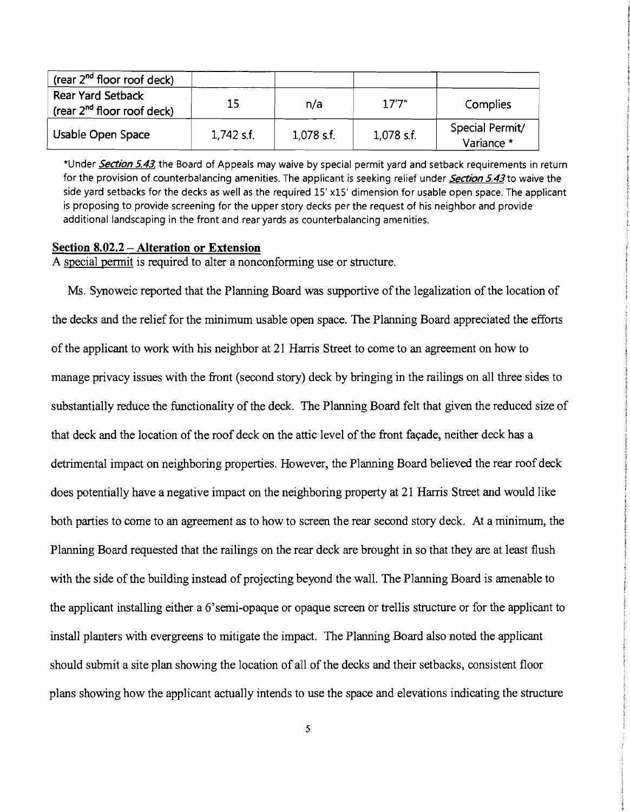| (rear $2^{nd}$ floor roof deck)                             |              |            |            |                               |
|-------------------------------------------------------------|--------------|------------|------------|-------------------------------|
| <b>Rear Yard Setback</b><br>(rear $2^{nd}$ floor roof deck) | 15           | n/a        | 17'7''     | Complies                      |
| Usable Open Space                                           | $1,742$ s.f. | 1,078 s.f. | 1,078 s.f. | Special Permit/<br>Variance * |

\*Under *Section* 5.43, the Board of Appeals may waive by special permit yard and setback requirements in return for the provision of counterbalancing amenities. The applicant is seeking relief under *Section* 5.43 to waive the side yard setbacks for the decks as well as the required 15' xIS' dimension for usable open space. The applicant is proposing to provide screening for the upper story decks per the request of his neighbor and provide additional landscaping in the front and rear yards as counterbalancing amenities.

#### Section 8.02.2 – Alteration or Extension

A special permit is required to alter a nonconforming use or structure.

Ms. Synoweic reported that the Planning Board was supportive of the legalization of the location of the decks and the relief for the minimum usable open space. The Planning Board appreciated the efforts of the applicant to work with his neighbor at 21 Harris Street to come to an agreement on how to manage privacy issues with the front (second story) deck by bringing in the railings on all three sides to substantially reduce the functionality of the deck. The Planning Board felt that given the reduced size of that deck and the location of the roof deck on the attic level of the front façade, neither deck has a detrimental impact on neighboring properties. However, the Planning Board believed the rear roof deck does potentially have a negative impact on the neighboring property at 21 Harris Street and would like both parties to come to an agreement as to how to screen the rear second story deck. At a minimum, the Planning Board requested that the railings on the rear deck are brought in so that they are at least flush with the side of the building instead of projecting beyond the wall. The Planning Board is amenable to the applicant installing either a 6'semi-opaque or opaque screen or trellis structure or for the applicant to install planters with evergreens to mitigate the impact. The Planning Board also noted the applicant should submit a site plan showing the location of all of the decks and their setbacks, consistent floor plans showing how the applicant actually intends to use the space and elevations indicating the structure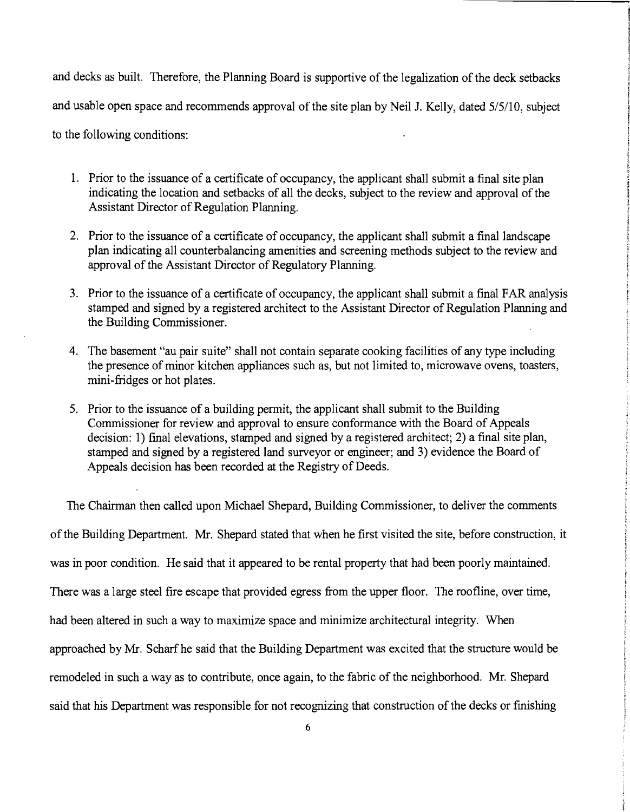and decks as built. Therefore, the Planning Board is supportive of the legalization of the deck setbacks and usable open space and recommends approval of the site plan by Neil 1. Kelly, dated 5/5/10, subject to the following conditions:

- 1. Prior to the issuance of a certificate of occupancy, the applicant shall submit a final site plan indicating the location and setbacks of all the decks, subject to the review and approval of the Assistant Director of Regulation Planning.
- 2. Prior to the issuance of a certificate of occupancy, the applicant shall submit a final landscape plan indicating all counterbalancing amenities and screening methods subject to the review and approval of the Assistant Director of Regulatory Planning.
- 3. Prior to the issuance of a certificate of occupancy, the applicant shall submit a final FAR analysis stamped and signed by a registered architect to the Assistant Director of Regulation Planning and the Building Commissioner.
- 4. The basement "au pair suite" shall not contain separate cooking facilities of any type including the presence of minor kitchen appliances such as, but not limited to, microwave ovens, toasters, mini-fridges or hot plates.
- 5. Prior to the issuance of a building permit, the applicant shall submit to the Building Commissioner for review and approval to ensure conformance with the Board of Appeals decision: 1) final elevations, stamped and signed by a registered architect; 2) a final site plan, stamped and signed by a registered land surveyor or engineer; and 3) evidence the Board of Appeals decision has been recorded at the Registry of Deeds.

The Chairman then called upon Michael Shepard, Building Commissioner, to deliver the comments of the Building Department. Mr. Shepard stated that when he first visited the site, before construction, it was in poor condition. He said that it appeared to be rental property that had been poorly maintained. There was a large steel fire escape that provided egress from the upper floor. The roofline, over time, had been altered in such a way to maximize space and minimize architectural integrity. When approached by Mr. Scharfhe said that the Building Department was excited that the structure would be remodeled in such a way as to contribute, once again, to the fabric of the neighborhood. Mr. Shepard said that his Department was responsible for not recognizing that construction of the decks or finishing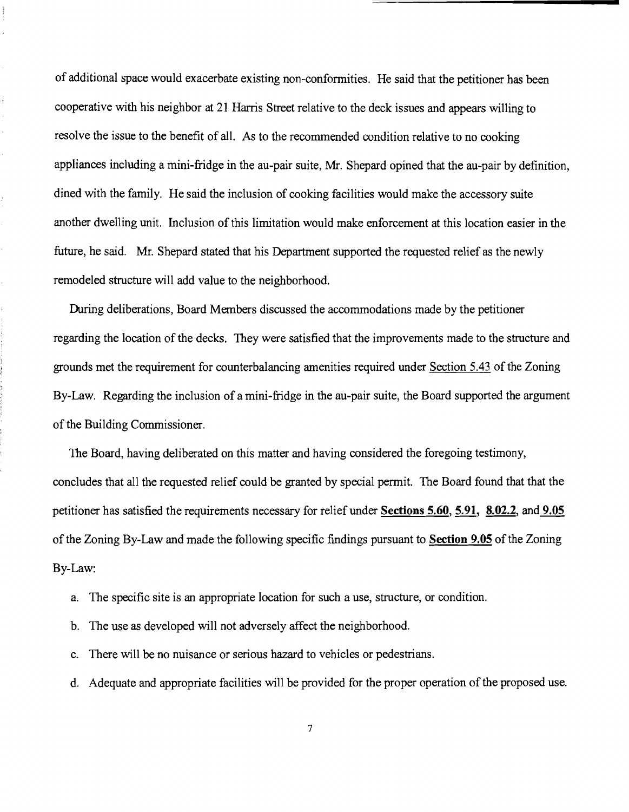of additional space would exacerbate existing non-confonnities. He said that the petitioner has been cooperative with his neighbor at 21 Harris Street relative to the deck issues and appears willing to resolve the issue to the benefit of all. As to the recommended condition relative to no cooking appliances including a mini-fridge in the au-pair suite, Mr. Shepard opined that the au-pair by definition, dined with the family. He said the inclusion of cooking facilities would make the accessory suite another dwelling unit. Inclusion of this limitation would make enforcement at this location easier in the future, he said. Mr. Shepard stated that his Department supported the requested relief as the newly remodeled structure will add value to the neighborhood.

During deliberations, Board Members discussed the accommodations made by the petitioner regarding the location of the decks. They were satisfied that the improvements made to the structure and grounds met the requirement for counterbalancing amenities required under Section 5.43 of the Zoning By-Law. Regarding the inclusion of a mini-fridge in the au-pair suite, the Board supported the argument of the Building Commissioner.

The Board, having deliberated on this matter and having considered the foregoing testimony, concludes that all the requested relief could be granted by special pennit. The Board found that that the petitioner has satisfied the requirements necessary for relief under Sections 5.60, 5.91, 8.02.2, and 9.05 of the Zoning By-Law and made the following specific findings pursuant to Section 9.05 of the Zoning By-Law:

- a. The specific site is an appropriate location for such a use, structure, or condition.
- b. The use as developed will not adversely affect the neighborhood.
- c. There will be no nuisance or serious hazard to vehicles or pedestrians.
- d. Adequate and appropriate facilities will be provided for the proper operation of the proposed use.